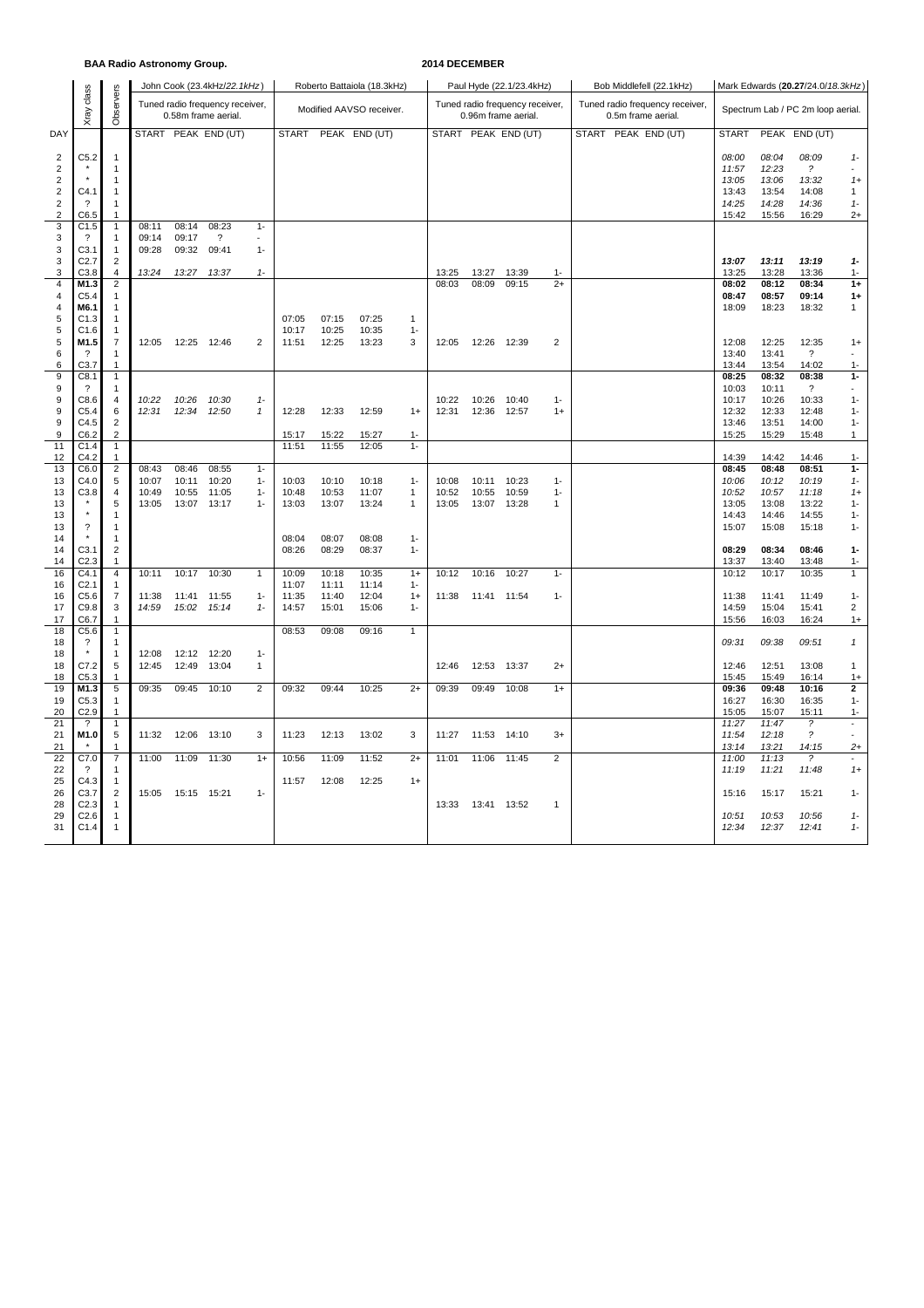### **BAA Radio Astronomy Group. 2014 DECEMBER**

|                                        | class                                |                                |                |                | John Cook (23.4kHz/22.1kHz)                            |                |                |                | Roberto Battaiola (18.3kHz) |                              |                |                | Paul Hyde (22.1/23.4kHz)                               |                         | Bob Middlefell (22.1kHz)                              | Mark Edwards (20.27/24.0/18.3kHz) |                |                                         |                          |  |
|----------------------------------------|--------------------------------------|--------------------------------|----------------|----------------|--------------------------------------------------------|----------------|----------------|----------------|-----------------------------|------------------------------|----------------|----------------|--------------------------------------------------------|-------------------------|-------------------------------------------------------|-----------------------------------|----------------|-----------------------------------------|--------------------------|--|
|                                        | <b>Xray</b>                          | Observers                      |                |                | Tuned radio frequency receiver,<br>0.58m frame aerial. |                |                |                | Modified AAVSO receiver.    |                              |                |                | Tuned radio frequency receiver,<br>0.96m frame aerial. |                         | Tuned radio frequency receiver,<br>0.5m frame aerial. | Spectrum Lab / PC 2m loop aerial. |                |                                         |                          |  |
| DAY                                    |                                      |                                |                |                | START PEAK END (UT)                                    |                | <b>START</b>   |                | PEAK END (UT)               |                              |                |                | START PEAK END (UT)                                    |                         | START PEAK END (UT)                                   | <b>START</b>                      |                | PEAK END (UT)                           |                          |  |
| $\overline{c}$<br>$\sqrt{2}$           | C5.2                                 | $\overline{1}$<br>$\mathbf{1}$ |                |                |                                                        |                |                |                |                             |                              |                |                |                                                        |                         |                                                       | 08:00<br>11:57                    | 08:04<br>12:23 | 08:09<br>$\overline{\mathcal{E}}$       | $1 -$<br>$\sim$          |  |
| $\boldsymbol{2}$                       |                                      | $\mathbf{1}$                   |                |                |                                                        |                |                |                |                             |                              |                |                |                                                        |                         |                                                       | 13:05                             | 13:06          | 13:32                                   | $1+$                     |  |
| $\overline{\mathbf{c}}$<br>$\mathbf 2$ | C4.1<br>-?                           | $\mathbf{1}$<br>$\mathbf{1}$   |                |                |                                                        |                |                |                |                             |                              |                |                |                                                        |                         |                                                       | 13:43<br>14:25                    | 13:54<br>14:28 | 14:08<br>14:36                          | 1<br>$1 -$               |  |
| $\overline{c}$                         | C6.5                                 | $\mathbf{1}$                   |                |                |                                                        |                |                |                |                             |                              |                |                |                                                        |                         |                                                       | 15:42                             | 15:56          | 16:29                                   | $2+$                     |  |
| $\overline{3}$                         | C1.5                                 | $\mathbf{1}$                   | 08:11          | 08:14          | 08:23                                                  | $1 -$          |                |                |                             |                              |                |                |                                                        |                         |                                                       |                                   |                |                                         |                          |  |
| 3                                      | $\overline{\mathcal{L}}$             | -1                             | 09:14          | 09:17          | $\overline{\phantom{a}}$                               |                |                |                |                             |                              |                |                |                                                        |                         |                                                       |                                   |                |                                         |                          |  |
| 3<br>3                                 | C <sub>3.1</sub><br>C <sub>2.7</sub> | $\mathbf{1}$<br>$\overline{c}$ | 09:28          | 09:32          | 09:41                                                  | $1 -$          |                |                |                             |                              |                |                |                                                        |                         |                                                       | 13:07                             | 13:11          | 13:19                                   | $1 -$                    |  |
| 3                                      | C3.8                                 | 4                              | 13:24          |                | 13:27 13:37                                            | $1 -$          |                |                |                             |                              | 13:25          | 13:27          | 13:39                                                  | $1 -$                   |                                                       | 13:25                             | 13:28          | 13:36                                   | $1 -$                    |  |
| $\sqrt{4}$                             | M1.3                                 | $\overline{c}$                 |                |                |                                                        |                |                |                |                             |                              | 08:03          | 08:09          | 09:15                                                  | $2+$                    |                                                       | 08:02                             | 08:12          | 08:34                                   | $1+$                     |  |
| 4                                      | C5.4                                 | -1                             |                |                |                                                        |                |                |                |                             |                              |                |                |                                                        |                         |                                                       | 08:47                             | 08:57          | 09:14                                   | $1+$                     |  |
| $\overline{\mathbf{4}}$<br>5           | M6.1<br>C1.3                         | $\mathbf{1}$<br>$\mathbf{1}$   |                |                |                                                        |                | 07:05          | 07:15          | 07:25                       | $\mathbf{1}$                 |                |                |                                                        |                         |                                                       | 18:09                             | 18:23          | 18:32                                   | 1                        |  |
| 5                                      | C1.6                                 | $\mathbf{1}$                   |                |                |                                                        |                | 10:17          | 10:25          | 10:35                       | $1 -$                        |                |                |                                                        |                         |                                                       |                                   |                |                                         |                          |  |
| 5                                      | M1.5                                 | $\overline{7}$                 | 12:05          | 12:25          | 12:46                                                  | $\overline{2}$ | 11:51          | 12:25          | 13:23                       | 3                            | 12:05          | 12:26          | 12:39                                                  | $\overline{\mathbf{c}}$ |                                                       | 12:08                             | 12:25          | 12:35                                   | $1+$                     |  |
| 6                                      | $\cdot$                              | $\mathbf{1}$                   |                |                |                                                        |                |                |                |                             |                              |                |                |                                                        |                         |                                                       | 13:40                             | 13:41          | $\overline{\mathcal{E}}$                |                          |  |
| 6<br>9                                 | C3.7                                 | $\mathbf{1}$<br>$\mathbf{1}$   |                |                |                                                        |                |                |                |                             |                              |                |                |                                                        |                         |                                                       | 13:44<br>08:25                    | 13:54<br>08:32 | 14:02<br>08:38                          | $1 -$<br>$1 -$           |  |
| 9                                      | C8.1<br>$\gamma$                     | $\mathbf{1}$                   |                |                |                                                        |                |                |                |                             |                              |                |                |                                                        |                         |                                                       | 10:03                             | 10:11          | $\overline{?}$                          | $\sim$                   |  |
| 9                                      | C8.6                                 | 4                              | 10:22          | 10:26          | 10:30                                                  | $1 -$          |                |                |                             |                              | 10:22          | 10:26          | 10:40                                                  | $1 -$                   |                                                       | 10:17                             | 10:26          | 10:33                                   | $1 -$                    |  |
| 9                                      | C5.4                                 | 6                              | 12:31          | 12:34          | 12:50                                                  | $\mathbf{1}$   | 12:28          | 12:33          | 12:59                       | $1+$                         | 12:31          | 12:36          | 12:57                                                  | $1+$                    |                                                       | 12:32                             | 12:33          | 12:48                                   | $1 -$                    |  |
| 9                                      | C4.5                                 | 2                              |                |                |                                                        |                |                |                |                             |                              |                |                |                                                        |                         |                                                       | 13:46                             | 13:51          | 14:00                                   | $1 -$                    |  |
| 9<br>11                                | C6.2<br>C1.4                         | $\overline{2}$<br>$\mathbf{1}$ |                |                |                                                        |                | 15:17<br>11:51 | 15:22<br>11:55 | 15:27<br>12:05              | $1 -$<br>$1 -$               |                |                |                                                        |                         |                                                       | 15:25                             | 15:29          | 15:48                                   | $\mathbf{1}$             |  |
| 12                                     | C4.2                                 | $\mathbf{1}$                   |                |                |                                                        |                |                |                |                             |                              |                |                |                                                        |                         |                                                       | 14:39                             | 14:42          | 14:46                                   | $1 -$                    |  |
| 13                                     | C6.0                                 | $\overline{2}$                 | 08:43          | 08:46          | 08:55                                                  | $1 -$          |                |                |                             |                              |                |                |                                                        |                         |                                                       | 08:45                             | 08:48          | 08:51                                   | $1 -$                    |  |
| 13                                     | C4.0                                 | 5                              | 10:07          | 10:11          | 10:20                                                  | $1 -$          | 10:03          | 10:10          | 10:18                       | $1 -$                        | 10:08          | 10:11          | 10:23                                                  | $1 -$                   |                                                       | 10:06                             | 10:12          | 10:19                                   | $1 -$                    |  |
| 13<br>13                               | C3.8                                 | 4<br>5                         | 10:49<br>13:05 | 10:55<br>13:07 | 11:05<br>13:17                                         | $1 -$<br>$1 -$ | 10:48<br>13:03 | 10:53<br>13:07 | 11:07<br>13:24              | $\mathbf{1}$<br>$\mathbf{1}$ | 10:52<br>13:05 | 10:55<br>13:07 | 10:59<br>13:28                                         | $1 -$<br>$\mathbf{1}$   |                                                       | 10:52<br>13:05                    | 10:57<br>13:08 | 11:18<br>13:22                          | $1+$<br>$1 -$            |  |
| 13                                     |                                      | 1                              |                |                |                                                        |                |                |                |                             |                              |                |                |                                                        |                         |                                                       | 14:43                             | 14:46          | 14:55                                   | $1 -$                    |  |
| 13                                     | $\overline{\mathcal{L}}$             | $\mathbf{1}$                   |                |                |                                                        |                |                |                |                             |                              |                |                |                                                        |                         |                                                       | 15:07                             | 15:08          | 15:18                                   | $1 -$                    |  |
| 14                                     |                                      | $\mathbf{1}$                   |                |                |                                                        |                | 08:04          | 08:07          | 08:08                       | $1 -$                        |                |                |                                                        |                         |                                                       |                                   |                |                                         |                          |  |
| 14<br>14                               | C3.1<br>C <sub>2.3</sub>             | $\overline{2}$<br>1            |                |                |                                                        |                | 08:26          | 08:29          | 08:37                       | $1 -$                        |                |                |                                                        |                         |                                                       | 08:29<br>13:37                    | 08:34<br>13:40 | 08:46<br>13:48                          | $1-$<br>$1 -$            |  |
| 16                                     | C4.1                                 | $\overline{4}$                 | 10:11          | 10:17          | 10:30                                                  | $\mathbf{1}$   | 10:09          | 10:18          | 10:35                       | $1+$                         | 10:12          | 10:16          | 10:27                                                  | $1 -$                   |                                                       | 10:12                             | 10:17          | 10:35                                   | 1                        |  |
| 16                                     | C <sub>2.1</sub>                     | $\mathbf{1}$                   |                |                |                                                        |                | 11:07          | 11:11          | 11:14                       | $1 -$                        |                |                |                                                        |                         |                                                       |                                   |                |                                         |                          |  |
| 16                                     | C5.6                                 | 7                              | 11:38          | 11:41          | 11:55                                                  | $1 -$          | 11:35          | 11:40          | 12:04                       | $1+$                         | 11:38          | 11:41 11:54    |                                                        | $1 -$                   |                                                       | 11:38                             | 11:41          | 11:49                                   | $1 -$                    |  |
| 17<br>17                               | C9.8<br>C6.7                         | 3<br>1                         | 14:59          | 15:02          | 15:14                                                  | $1 -$          | 14:57          | 15:01          | 15:06                       | $1 -$                        |                |                |                                                        |                         |                                                       | 14:59<br>15:56                    | 15:04<br>16:03 | 15:41<br>16:24                          | $\overline{2}$<br>$1+$   |  |
| 18                                     | C5.6                                 | $\mathbf{1}$                   |                |                |                                                        |                | 08:53          | 09:08          | 09:16                       | $\mathbf{1}$                 |                |                |                                                        |                         |                                                       |                                   |                |                                         |                          |  |
| 18                                     | $\overline{\cdot}$                   | $\mathbf{1}$                   |                |                |                                                        |                |                |                |                             |                              |                |                |                                                        |                         |                                                       | 09:31                             | 09:38          | 09:51                                   | $\mathbf{1}$             |  |
| 18                                     |                                      | $\mathbf{1}$                   | 12:08          | 12:12          | 12:20                                                  | $1 -$          |                |                |                             |                              |                |                |                                                        |                         |                                                       |                                   |                |                                         |                          |  |
| 18<br>18                               | C7.2<br>C5.3                         | 5<br>$\mathbf{1}$              | 12:45          | 12:49          | 13:04                                                  | 1              |                |                |                             |                              | 12:46          | 12:53 13:37    |                                                        | $2+$                    |                                                       | 12:46<br>15:45                    | 12:51<br>15:49 | 13:08<br>16:14                          | 1<br>$1+$                |  |
| 19                                     | M1.3                                 | 5                              | 09:35          | 09:45          | 10:10                                                  | 2              | 09:32          | 09:44          | 10:25                       | $2+$                         | 09:39          | 09:49          | 10:08                                                  | $1+$                    |                                                       | 09:36                             | 09:48          | 10:16                                   | 2                        |  |
| 19                                     | C5.3                                 | $\mathbf 1$                    |                |                |                                                        |                |                |                |                             |                              |                |                |                                                        |                         |                                                       | 16:27                             | 16:30          | 16:35                                   | $1 -$                    |  |
| 20                                     | C2.9                                 | $\mathbf{1}$                   |                |                |                                                        |                |                |                |                             |                              |                |                |                                                        |                         |                                                       | 15:05                             | 15:07          | 15:11                                   | $1 -$                    |  |
| 21                                     | ?                                    | 1                              |                |                |                                                        |                |                |                |                             |                              |                |                |                                                        |                         |                                                       | 11:27                             | 11:47          | $\overline{\phantom{a}}$<br>$\tilde{z}$ | $\overline{\phantom{a}}$ |  |
| 21<br>21                               | M1.0                                 | 5<br>$\mathbf{1}$              | 11:32          | 12:06          | 13:10                                                  | 3              | 11:23          | 12:13          | 13:02                       | 3                            | 11:27          | 11:53          | 14:10                                                  | $3+$                    |                                                       | 11:54<br>13:14                    | 12:18<br>13:21 | 14:15                                   | $2+$                     |  |
| 22                                     | C7.0                                 | $\overline{7}$                 | 11:00          | 11:09          | 11:30                                                  | $1+$           | 10:56          | 11:09          | 11:52                       | $2+$                         | 11:01          | 11:06          | 11:45                                                  | $\overline{2}$          |                                                       | 11:00                             | 11:13          | $\tilde{z}$                             |                          |  |
| 22                                     | $\cdot$                              | $\mathbf{1}$                   |                |                |                                                        |                |                |                |                             |                              |                |                |                                                        |                         |                                                       | 11:19                             | 11:21          | 11:48                                   | $1+$                     |  |
| 25                                     | C4.3                                 | $\mathbf{1}$                   |                |                |                                                        |                | 11:57          | 12:08          | 12:25                       | $1+$                         |                |                |                                                        |                         |                                                       |                                   |                |                                         |                          |  |
| 26<br>28                               | C3.7<br>C <sub>2.3</sub>             | $\overline{2}$<br>$\mathbf{1}$ | 15:05          |                | 15:15 15:21                                            | $1 -$          |                |                |                             |                              | 13:33          |                | 13:41 13:52                                            | $\mathbf{1}$            |                                                       | 15:16                             | 15:17          | 15:21                                   | $1 -$                    |  |
| 29                                     | C <sub>2.6</sub>                     | 1                              |                |                |                                                        |                |                |                |                             |                              |                |                |                                                        |                         |                                                       | 10:51                             | 10:53          | 10:56                                   | 1-                       |  |
| 31                                     | C1.4                                 | $\mathbf{1}$                   |                |                |                                                        |                |                |                |                             |                              |                |                |                                                        |                         |                                                       | 12:34                             | 12:37          | 12:41                                   | $1 -$                    |  |
|                                        |                                      |                                |                |                |                                                        |                |                |                |                             |                              |                |                |                                                        |                         |                                                       |                                   |                |                                         |                          |  |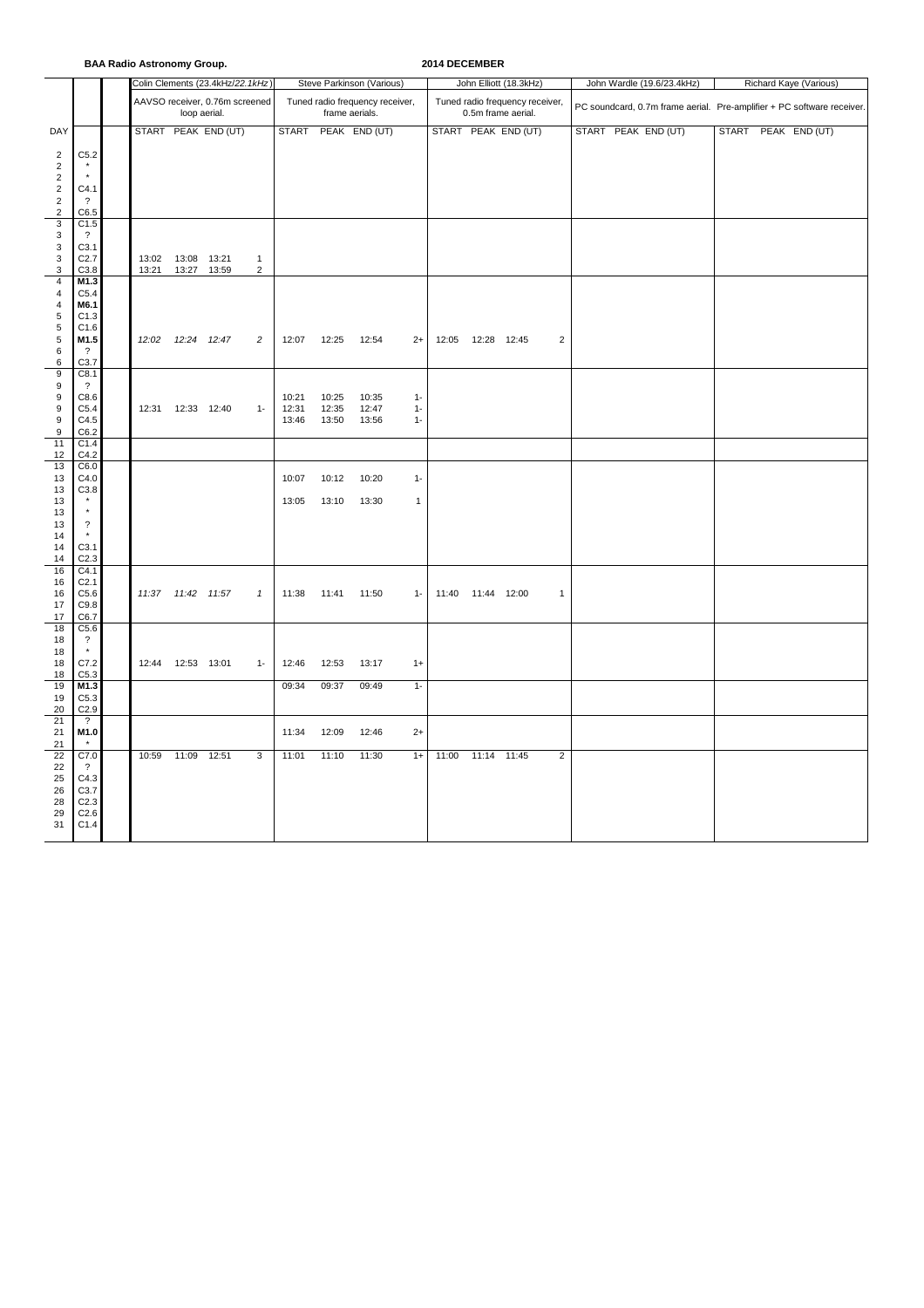| <b>BAA Radio Astronomy Group.</b> |  |  |  |
|-----------------------------------|--|--|--|
|-----------------------------------|--|--|--|

**BAA Radio Astronomy Group. 2014 DECEMBER**

|                                       |                                     |                     |                                                | Colin Clements (23.4kHz/22.1kHz) |                |                |                                                   | Steve Parkinson (Various) |                |       |                                                       | John Elliott (18.3kHz) |                |  | John Wardle (19.6/23.4kHz)                                             | Richard Kaye (Various) |  |  |  |  |  |
|---------------------------------------|-------------------------------------|---------------------|------------------------------------------------|----------------------------------|----------------|----------------|---------------------------------------------------|---------------------------|----------------|-------|-------------------------------------------------------|------------------------|----------------|--|------------------------------------------------------------------------|------------------------|--|--|--|--|--|
|                                       |                                     |                     | AAVSO receiver, 0.76m screened<br>loop aerial. |                                  |                |                | Tuned radio frequency receiver,<br>frame aerials. |                           |                |       | Tuned radio frequency receiver,<br>0.5m frame aerial. |                        |                |  | PC soundcard, 0.7m frame aerial. Pre-amplifier + PC software receiver. |                        |  |  |  |  |  |
| DAY                                   |                                     |                     |                                                | START PEAK END (UT)              |                |                |                                                   | START PEAK END (UT)       |                |       |                                                       | START PEAK END (UT)    |                |  | START PEAK END (UT)                                                    | START PEAK END (UT)    |  |  |  |  |  |
| $\overline{2}$                        | C5.2                                |                     |                                                |                                  |                |                |                                                   |                           |                |       |                                                       |                        |                |  |                                                                        |                        |  |  |  |  |  |
| $\sqrt{2}$<br>$\boldsymbol{2}$        | $\star$                             |                     |                                                |                                  |                |                |                                                   |                           |                |       |                                                       |                        |                |  |                                                                        |                        |  |  |  |  |  |
| $\boldsymbol{2}$                      | C4.1                                |                     |                                                |                                  |                |                |                                                   |                           |                |       |                                                       |                        |                |  |                                                                        |                        |  |  |  |  |  |
| $\begin{array}{c} 2 \\ 2 \end{array}$ | $\overline{?}$<br>C6.5              |                     |                                                |                                  |                |                |                                                   |                           |                |       |                                                       |                        |                |  |                                                                        |                        |  |  |  |  |  |
| $\overline{3}$                        | C1.5                                |                     |                                                |                                  |                |                |                                                   |                           |                |       |                                                       |                        |                |  |                                                                        |                        |  |  |  |  |  |
| $\ensuremath{\mathsf{3}}$             | $\overline{\mathcal{L}}$<br>C3.1    |                     |                                                |                                  |                |                |                                                   |                           |                |       |                                                       |                        |                |  |                                                                        |                        |  |  |  |  |  |
| $\begin{array}{c} 3 \\ 3 \end{array}$ | C2.7                                | 13:02  13:08  13:21 |                                                |                                  | $\mathbf{1}$   |                |                                                   |                           |                |       |                                                       |                        |                |  |                                                                        |                        |  |  |  |  |  |
| 3<br>$\overline{4}$                   | C3.8<br>M1.3                        | 13:21               | 13:27 13:59                                    |                                  | $\overline{2}$ |                |                                                   |                           |                |       |                                                       |                        |                |  |                                                                        |                        |  |  |  |  |  |
| $\overline{4}$                        | C5.4                                |                     |                                                |                                  |                |                |                                                   |                           |                |       |                                                       |                        |                |  |                                                                        |                        |  |  |  |  |  |
| $\sqrt{4}$<br>$\,$ 5 $\,$             | M6.1<br>C1.3                        |                     |                                                |                                  |                |                |                                                   |                           |                |       |                                                       |                        |                |  |                                                                        |                        |  |  |  |  |  |
| $\sqrt{5}$                            | C1.6                                |                     |                                                |                                  |                |                |                                                   |                           |                |       |                                                       |                        |                |  |                                                                        |                        |  |  |  |  |  |
| $\begin{array}{c} 5 \\ 6 \end{array}$ | M1.5<br>$\overline{?}$              | 12:02               | 12:24 12:47                                    |                                  | $\overline{c}$ | 12:07          | 12:25                                             | 12:54                     | $2+$           | 12:05 | 12:28 12:45                                           |                        | $\overline{2}$ |  |                                                                        |                        |  |  |  |  |  |
| 6                                     | C3.7                                |                     |                                                |                                  |                |                |                                                   |                           |                |       |                                                       |                        |                |  |                                                                        |                        |  |  |  |  |  |
| $\boldsymbol{9}$<br>$\boldsymbol{9}$  | C8.1<br>$\overline{?}$              |                     |                                                |                                  |                |                |                                                   |                           |                |       |                                                       |                        |                |  |                                                                        |                        |  |  |  |  |  |
| 9<br>9                                | C8.6<br>C5.4                        |                     |                                                |                                  |                | 10:21          | 10:25                                             | 10:35                     | $1 -$          |       |                                                       |                        |                |  |                                                                        |                        |  |  |  |  |  |
| 9                                     | C4.5                                | 12:31  12:33  12:40 |                                                |                                  | $1 -$          | 12:31<br>13:46 | 12:35<br>13:50                                    | 12:47<br>13:56            | $1 -$<br>$1 -$ |       |                                                       |                        |                |  |                                                                        |                        |  |  |  |  |  |
| $\boldsymbol{9}$<br>11                | C6.2<br>C1.4                        |                     |                                                |                                  |                |                |                                                   |                           |                |       |                                                       |                        |                |  |                                                                        |                        |  |  |  |  |  |
| 12                                    | C4.2                                |                     |                                                |                                  |                |                |                                                   |                           |                |       |                                                       |                        |                |  |                                                                        |                        |  |  |  |  |  |
| 13<br>13                              | C6.0<br>C4.0                        |                     |                                                |                                  |                | 10:07          | 10:12                                             | 10:20                     | $1 -$          |       |                                                       |                        |                |  |                                                                        |                        |  |  |  |  |  |
| 13                                    | C3.8                                |                     |                                                |                                  |                |                |                                                   |                           |                |       |                                                       |                        |                |  |                                                                        |                        |  |  |  |  |  |
| 13<br>13                              | $^\star$<br>$^\star$                |                     |                                                |                                  |                | 13:05          | 13:10                                             | 13:30                     | 1              |       |                                                       |                        |                |  |                                                                        |                        |  |  |  |  |  |
| 13                                    | $\overline{\mathcal{L}}$            |                     |                                                |                                  |                |                |                                                   |                           |                |       |                                                       |                        |                |  |                                                                        |                        |  |  |  |  |  |
| 14<br>14                              | C3.1                                |                     |                                                |                                  |                |                |                                                   |                           |                |       |                                                       |                        |                |  |                                                                        |                        |  |  |  |  |  |
| 14                                    | C <sub>2.3</sub>                    |                     |                                                |                                  |                |                |                                                   |                           |                |       |                                                       |                        |                |  |                                                                        |                        |  |  |  |  |  |
| 16<br>16                              | C4.1<br>C <sub>2.1</sub>            |                     |                                                |                                  |                |                |                                                   |                           |                |       |                                                       |                        |                |  |                                                                        |                        |  |  |  |  |  |
| 16                                    | C5.6                                | 11:37  11:42  11:57 |                                                |                                  | $\mathbf{1}$   | 11:38          | 11:41                                             | 11:50                     | $1 -$          | 11:40 | 11:44 12:00                                           |                        | $\mathbf{1}$   |  |                                                                        |                        |  |  |  |  |  |
| 17<br>17                              | C9.8<br>C6.7                        |                     |                                                |                                  |                |                |                                                   |                           |                |       |                                                       |                        |                |  |                                                                        |                        |  |  |  |  |  |
| 18                                    | C5.6                                |                     |                                                |                                  |                |                |                                                   |                           |                |       |                                                       |                        |                |  |                                                                        |                        |  |  |  |  |  |
| 18<br>18                              | $\overline{\mathcal{L}}$<br>$\star$ |                     |                                                |                                  |                |                |                                                   |                           |                |       |                                                       |                        |                |  |                                                                        |                        |  |  |  |  |  |
| 18<br>18                              | C7.2<br>C5.3                        | 12:44  12:53  13:01 |                                                |                                  | $1 -$          | 12:46          | 12:53                                             | 13:17                     | $1+$           |       |                                                       |                        |                |  |                                                                        |                        |  |  |  |  |  |
| 19                                    | M1.3                                |                     |                                                |                                  |                | 09:34          | 09:37                                             | 09:49                     | $1 -$          |       |                                                       |                        |                |  |                                                                        |                        |  |  |  |  |  |
| 19<br>20                              | C5.3<br>C2.9                        |                     |                                                |                                  |                |                |                                                   |                           |                |       |                                                       |                        |                |  |                                                                        |                        |  |  |  |  |  |
| 21                                    | $\overline{\mathcal{L}}$            |                     |                                                |                                  |                |                |                                                   |                           |                |       |                                                       |                        |                |  |                                                                        |                        |  |  |  |  |  |
| 21<br>21                              | M1.0<br>$\star$                     |                     |                                                |                                  |                | 11:34          | 12:09                                             | 12:46                     | $2+$           |       |                                                       |                        |                |  |                                                                        |                        |  |  |  |  |  |
| 22                                    | C7.0                                | 10:59               | 11:09 12:51                                    |                                  | 3              | 11:01          | 11:10                                             | 11:30                     | $1+$           | 11:00 | 11:14 11:45                                           |                        | $\overline{2}$ |  |                                                                        |                        |  |  |  |  |  |
| 22<br>25                              | $\cdot$ ?<br>C4.3                   |                     |                                                |                                  |                |                |                                                   |                           |                |       |                                                       |                        |                |  |                                                                        |                        |  |  |  |  |  |
| 26                                    | C3.7                                |                     |                                                |                                  |                |                |                                                   |                           |                |       |                                                       |                        |                |  |                                                                        |                        |  |  |  |  |  |
| 28<br>29                              | C <sub>2.3</sub><br>C2.6            |                     |                                                |                                  |                |                |                                                   |                           |                |       |                                                       |                        |                |  |                                                                        |                        |  |  |  |  |  |
| 31                                    | C1.4                                |                     |                                                |                                  |                |                |                                                   |                           |                |       |                                                       |                        |                |  |                                                                        |                        |  |  |  |  |  |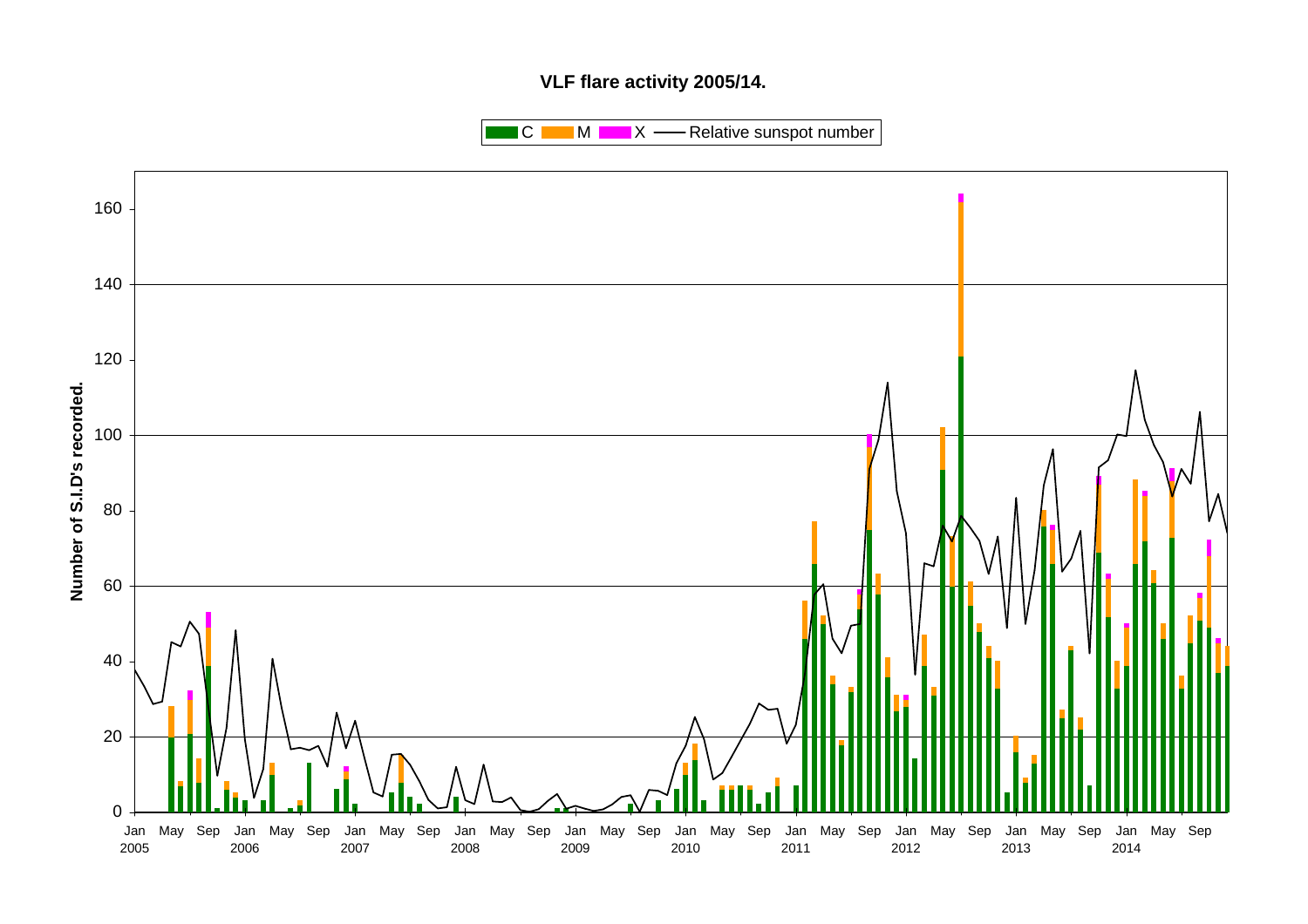# **VLF flare activity 2005/14.**

 $\blacksquare$  C  $\blacksquare$  M  $\blacksquare$   $\blacksquare$  X  $\blacksquare$  Relative sunspot number

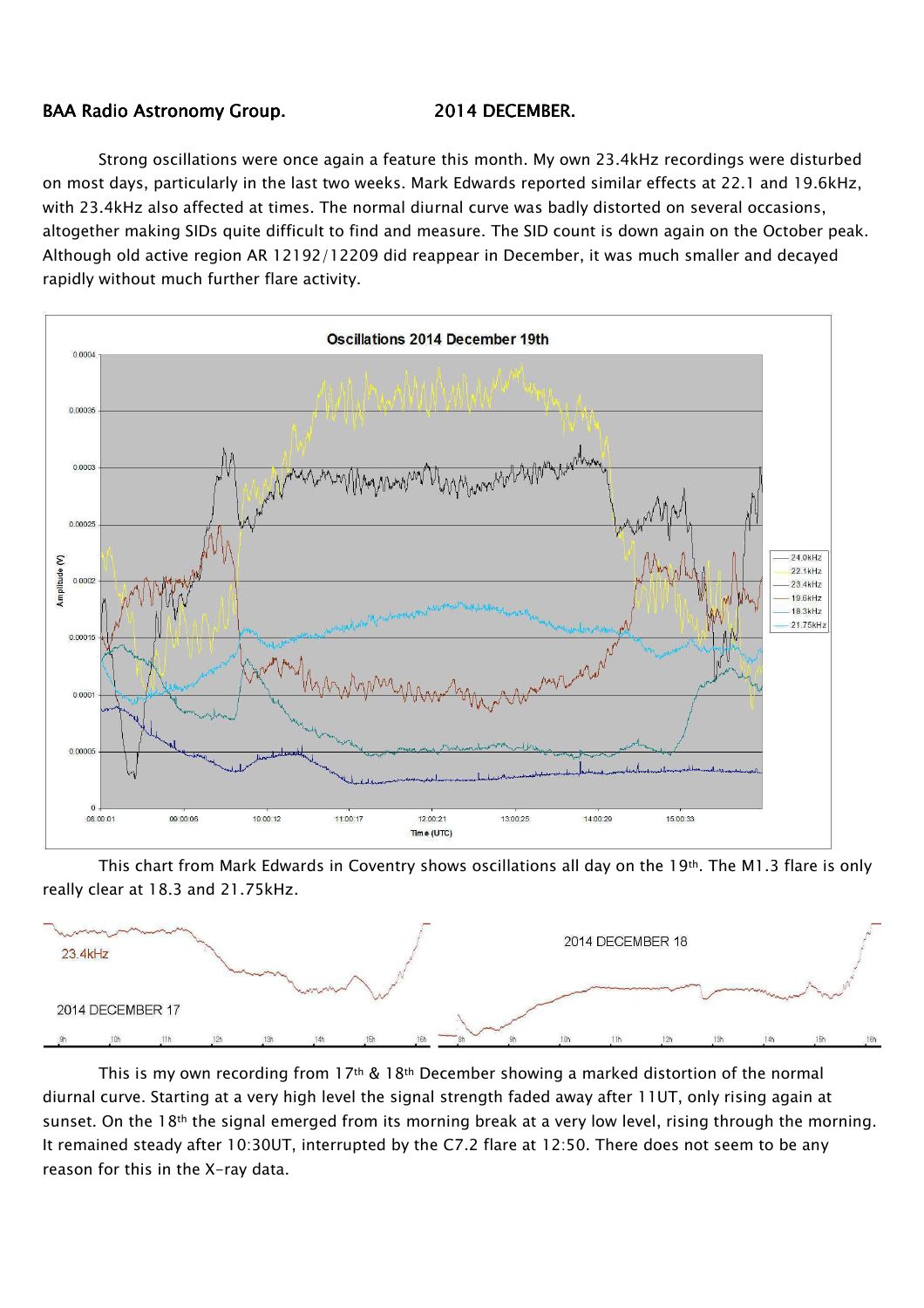## BAA Radio Astronomy Group. 2014 DECEMBER.

Strong oscillations were once again a feature this month. My own 23.4kHz recordings were disturbed on most days, particularly in the last two weeks. Mark Edwards reported similar effects at 22.1 and 19.6kHz, with 23.4kHz also affected at times. The normal diurnal curve was badly distorted on several occasions, altogether making SIDs quite difficult to find and measure. The SID count is down again on the October peak. Although old active region AR 12192/12209 did reappear in December, it was much smaller and decayed rapidly without much further flare activity.



This chart from Mark Edwards in Coventry shows oscillations all day on the 19th. The M1.3 flare is only really clear at 18.3 and 21.75kHz.



This is my own recording from  $17<sup>th</sup>$  &  $18<sup>th</sup>$  December showing a marked distortion of the normal diurnal curve. Starting at a very high level the signal strength faded away after 11UT, only rising again at sunset. On the 18<sup>th</sup> the signal emerged from its morning break at a very low level, rising through the morning. It remained steady after 10:30UT, interrupted by the C7.2 flare at 12:50. There does not seem to be any reason for this in the X-ray data.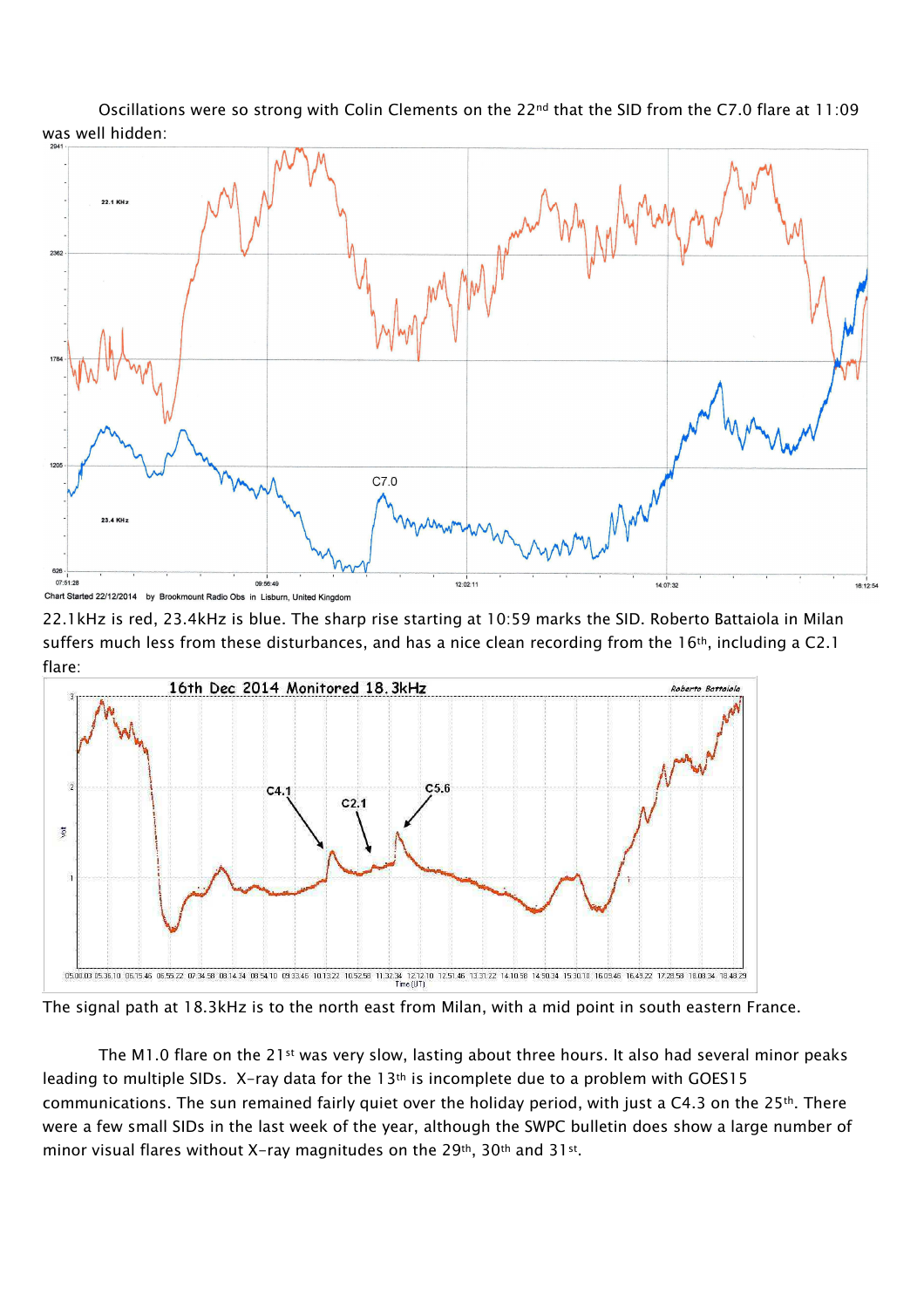Oscillations were so strong with Colin Clements on the 22<sup>nd</sup> that the SID from the C7.0 flare at 11:09 was well hidden:



22.1kHz is red, 23.4kHz is blue. The sharp rise starting at 10:59 marks the SID. Roberto Battaiola in Milan suffers much less from these disturbances, and has a nice clean recording from the 16<sup>th</sup>, including a C2.1 flare:



The signal path at 18.3kHz is to the north east from Milan, with a mid point in south eastern France.

The M1.0 flare on the  $21$ <sup>st</sup> was very slow, lasting about three hours. It also had several minor peaks leading to multiple SIDs. X-ray data for the 13th is incomplete due to a problem with GOES15 communications. The sun remained fairly quiet over the holiday period, with just a C4.3 on the 25<sup>th</sup>. There were a few small SIDs in the last week of the year, although the SWPC bulletin does show a large number of minor visual flares without X-ray magnitudes on the 29th, 30th and 31st .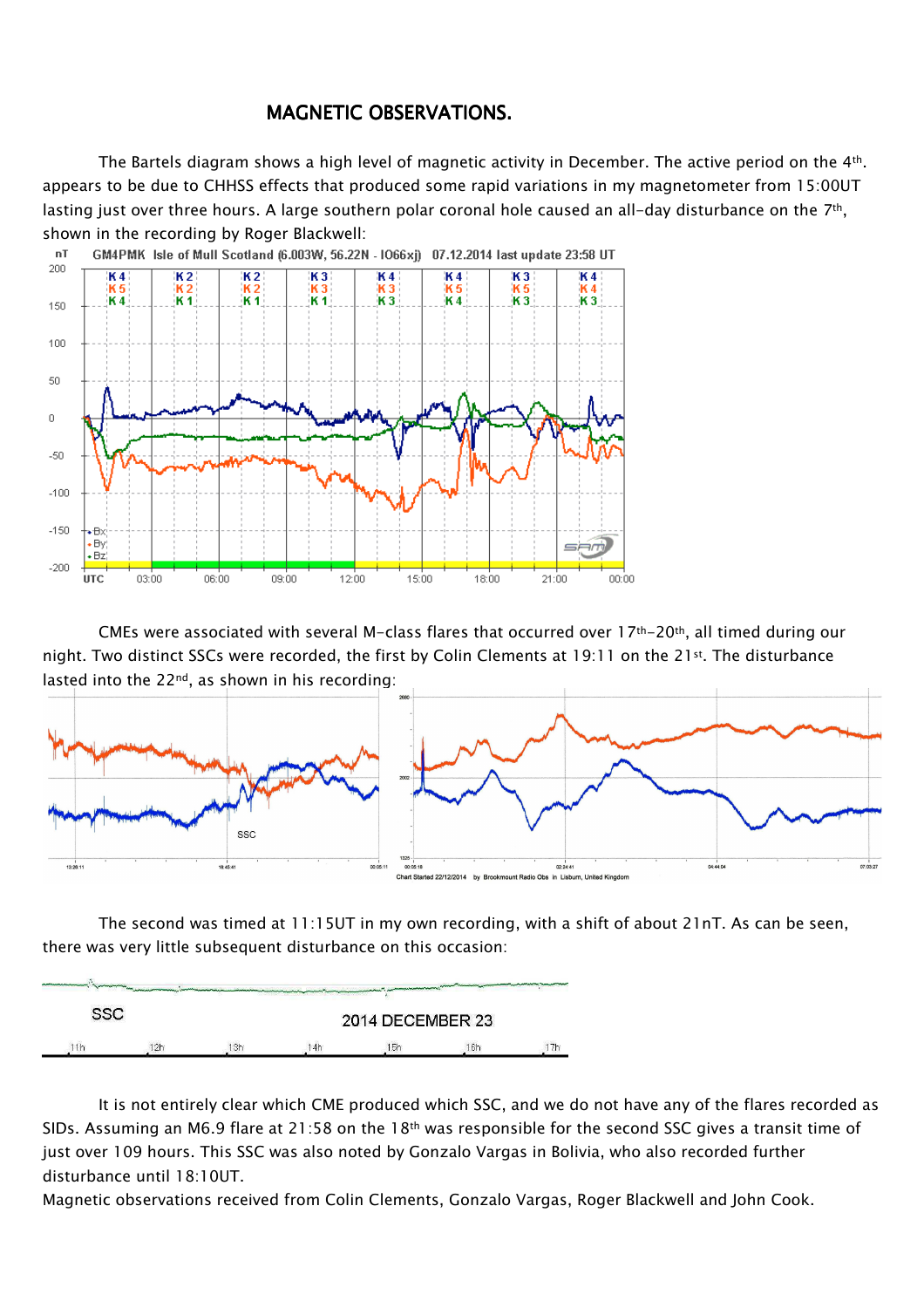# MAGNETIC OBSERVATIONS.

The Bartels diagram shows a high level of magnetic activity in December. The active period on the 4th. appears to be due to CHHSS effects that produced some rapid variations in my magnetometer from 15:00UT lasting just over three hours. A large southern polar coronal hole caused an all-day disturbance on the 7<sup>th</sup>, shown in the recording by Roger Blackwell:



CMEs were associated with several M-class flares that occurred over  $17$ <sup>th-20th</sup>, all timed during our night. Two distinct SSCs were recorded, the first by Colin Clements at 19:11 on the 21st. The disturbance lasted into the 22nd, as shown in his recording:



The second was timed at 11:15UT in my own recording, with a shift of about 21nT. As can be seen, there was very little subsequent disturbance on this occasion:



It is not entirely clear which CME produced which SSC, and we do not have any of the flares recorded as SIDs. Assuming an M6.9 flare at 21:58 on the 18<sup>th</sup> was responsible for the second SSC gives a transit time of just over 109 hours. This SSC was also noted by Gonzalo Vargas in Bolivia, who also recorded further disturbance until 18:10UT.

Magnetic observations received from Colin Clements, Gonzalo Vargas, Roger Blackwell and John Cook.